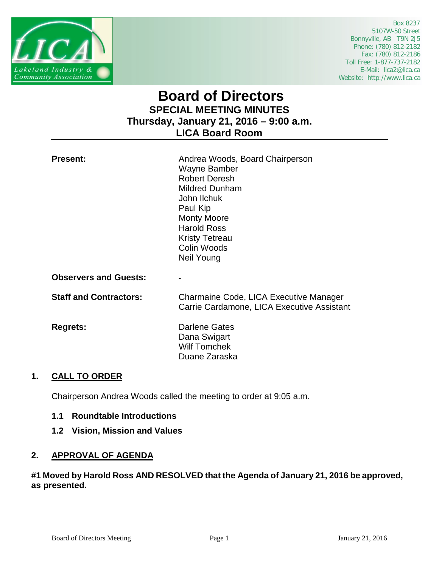

 Box 8237 5107W-50 Street Bonnyville, AB T9N 2J5 Phone: (780) 812-2182 Fax: (780) 812-2186 Toll Free: 1-877-737-2182 E-Mail: lica2@lica.ca Website: http://www.lica.ca

# **Board of Directors SPECIAL MEETING MINUTES Thursday, January 21, 2016 – 9:00 a.m. LICA Board Room**

| <b>Present:</b>              | Andrea Woods, Board Chairperson<br>Wayne Bamber<br><b>Robert Deresh</b><br><b>Mildred Dunham</b><br>John Ilchuk<br>Paul Kip<br><b>Monty Moore</b><br><b>Harold Ross</b><br><b>Kristy Tetreau</b><br>Colin Woods<br>Neil Young |
|------------------------------|-------------------------------------------------------------------------------------------------------------------------------------------------------------------------------------------------------------------------------|
| <b>Observers and Guests:</b> |                                                                                                                                                                                                                               |
| Ciall and Cantrontoval       | Charmaina Cade LICA Executive Ma                                                                                                                                                                                              |

**Staff and Contractors:** Charmaine Code, LICA Executive Manager Carrie Cardamone, LICA Executive Assistant

**Regrets:** Darlene Gates Dana Swigart Wilf Tomchek Duane Zaraska

## **1. CALL TO ORDER**

Chairperson Andrea Woods called the meeting to order at 9:05 a.m.

- **1.1 Roundtable Introductions**
- **1.2 Vision, Mission and Values**

## **2. APPROVAL OF AGENDA**

### **#1 Moved by Harold Ross AND RESOLVED that the Agenda of January 21, 2016 be approved, as presented.**